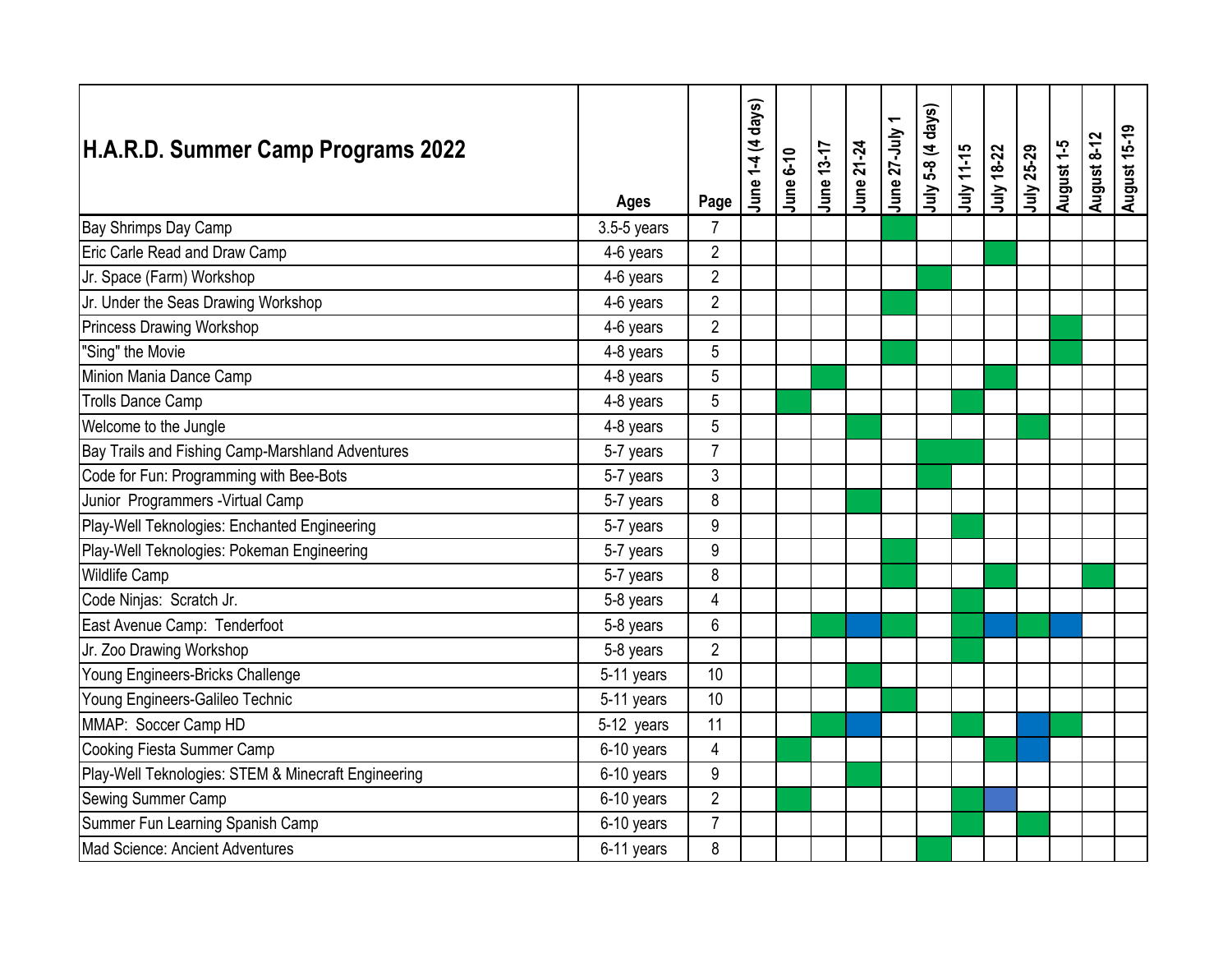| H.A.R.D. Summer Camp Programs 2022                  | <b>Ages</b>   | Page             | June 1-4 (4 days) | <b>June 6-10</b> | June 13-17 | June 21-24 | June 27-July | July 5-8 (4 days) | July 11-15 | July 18-22 | July 25-29 | August 1-5 | August 8-12 | <b>August 15-19</b> |
|-----------------------------------------------------|---------------|------------------|-------------------|------------------|------------|------------|--------------|-------------------|------------|------------|------------|------------|-------------|---------------------|
| Bay Shrimps Day Camp                                | $3.5-5$ years | $\overline{7}$   |                   |                  |            |            |              |                   |            |            |            |            |             |                     |
| Eric Carle Read and Draw Camp                       | 4-6 years     | $\overline{2}$   |                   |                  |            |            |              |                   |            |            |            |            |             |                     |
| Jr. Space (Farm) Workshop                           | 4-6 years     | $\overline{2}$   |                   |                  |            |            |              |                   |            |            |            |            |             |                     |
| Jr. Under the Seas Drawing Workshop                 | 4-6 years     | $\overline{2}$   |                   |                  |            |            |              |                   |            |            |            |            |             |                     |
| Princess Drawing Workshop                           | 4-6 years     | $\overline{2}$   |                   |                  |            |            |              |                   |            |            |            |            |             |                     |
| "Sing" the Movie                                    | 4-8 years     | 5                |                   |                  |            |            |              |                   |            |            |            |            |             |                     |
| Minion Mania Dance Camp                             | 4-8 years     | 5                |                   |                  |            |            |              |                   |            |            |            |            |             |                     |
| <b>Trolls Dance Camp</b>                            | 4-8 years     | 5                |                   |                  |            |            |              |                   |            |            |            |            |             |                     |
| Welcome to the Jungle                               | 4-8 years     | 5                |                   |                  |            |            |              |                   |            |            |            |            |             |                     |
| Bay Trails and Fishing Camp-Marshland Adventures    | 5-7 years     | $\overline{7}$   |                   |                  |            |            |              |                   |            |            |            |            |             |                     |
| Code for Fun: Programming with Bee-Bots             | 5-7 years     | 3                |                   |                  |            |            |              |                   |            |            |            |            |             |                     |
| Junior Programmers - Virtual Camp                   | 5-7 years     | 8                |                   |                  |            |            |              |                   |            |            |            |            |             |                     |
| Play-Well Teknologies: Enchanted Engineering        | 5-7 years     | 9                |                   |                  |            |            |              |                   |            |            |            |            |             |                     |
| Play-Well Teknologies: Pokeman Engineering          | 5-7 years     | $\boldsymbol{9}$ |                   |                  |            |            |              |                   |            |            |            |            |             |                     |
| <b>Wildlife Camp</b>                                | 5-7 years     | 8                |                   |                  |            |            |              |                   |            |            |            |            |             |                     |
| Code Ninjas: Scratch Jr.                            | 5-8 years     | $\overline{4}$   |                   |                  |            |            |              |                   |            |            |            |            |             |                     |
| East Avenue Camp: Tenderfoot                        | 5-8 years     | 6                |                   |                  |            |            |              |                   |            |            |            |            |             |                     |
| Jr. Zoo Drawing Workshop                            | 5-8 years     | $\overline{2}$   |                   |                  |            |            |              |                   |            |            |            |            |             |                     |
| Young Engineers-Bricks Challenge                    | 5-11 years    | 10               |                   |                  |            |            |              |                   |            |            |            |            |             |                     |
| Young Engineers-Galileo Technic                     | 5-11 years    | 10               |                   |                  |            |            |              |                   |            |            |            |            |             |                     |
| MMAP: Soccer Camp HD                                | 5-12 years    | 11               |                   |                  |            |            |              |                   |            |            |            |            |             |                     |
| Cooking Fiesta Summer Camp                          | 6-10 years    | 4                |                   |                  |            |            |              |                   |            |            |            |            |             |                     |
| Play-Well Teknologies: STEM & Minecraft Engineering | 6-10 years    | 9                |                   |                  |            |            |              |                   |            |            |            |            |             |                     |
| Sewing Summer Camp                                  | 6-10 years    | $\overline{2}$   |                   |                  |            |            |              |                   |            |            |            |            |             |                     |
| Summer Fun Learning Spanish Camp                    | 6-10 years    | $\overline{7}$   |                   |                  |            |            |              |                   |            |            |            |            |             |                     |
| Mad Science: Ancient Adventures                     | 6-11 years    | 8                |                   |                  |            |            |              |                   |            |            |            |            |             |                     |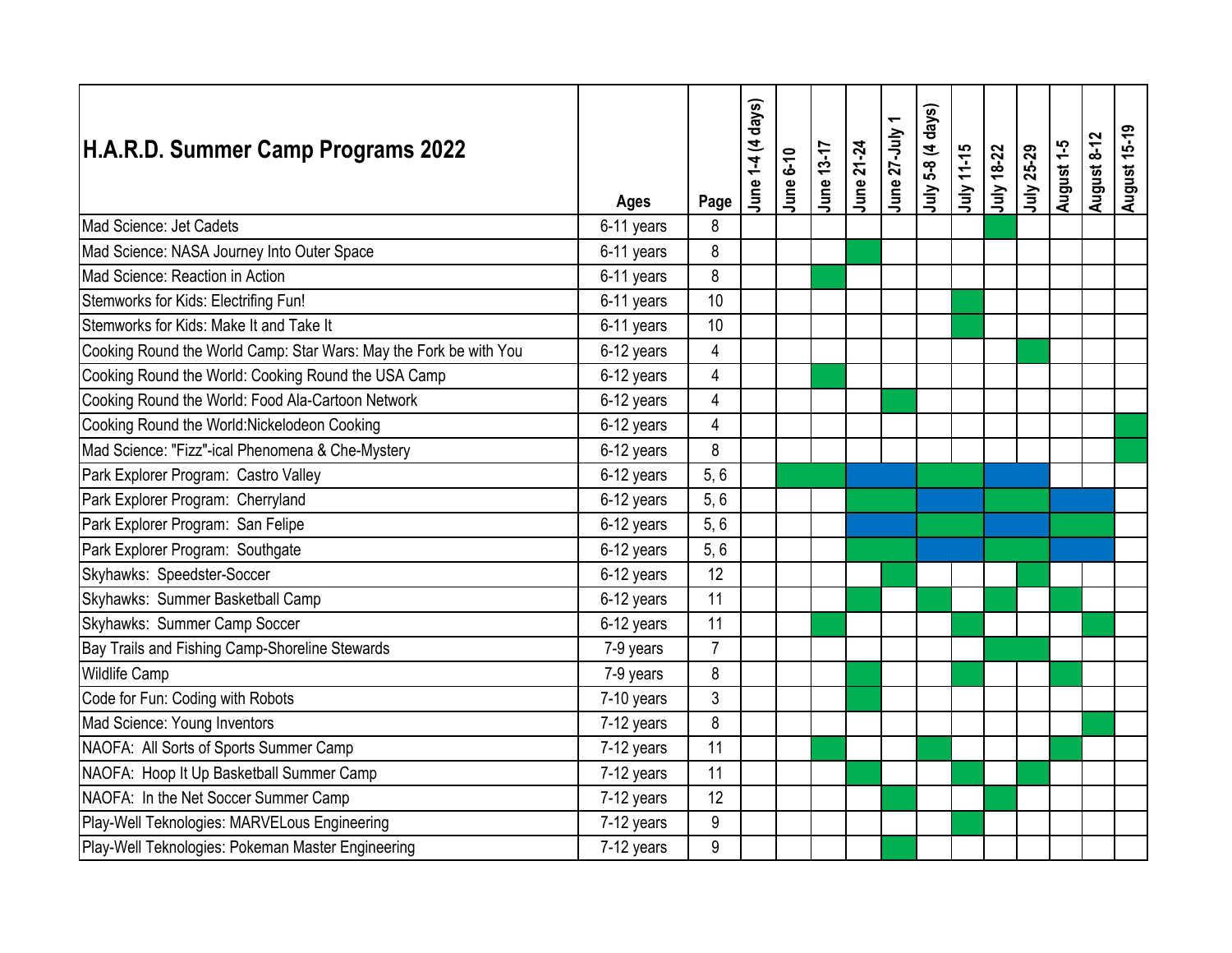| H.A.R.D. Summer Camp Programs 2022                                | <b>Ages</b> | Page                    | June 1-4 (4 days) | <b>June 6-10</b> | June 13-17 | June 21-24 | June 27-July | July 5-8 (4 days) | July 11-15 | July 18-22 | July 25-29 | August 1-5 | August 8-12 | <b>August 15-19</b> |
|-------------------------------------------------------------------|-------------|-------------------------|-------------------|------------------|------------|------------|--------------|-------------------|------------|------------|------------|------------|-------------|---------------------|
| Mad Science: Jet Cadets                                           | 6-11 years  | 8                       |                   |                  |            |            |              |                   |            |            |            |            |             |                     |
| Mad Science: NASA Journey Into Outer Space                        | 6-11 years  | 8                       |                   |                  |            |            |              |                   |            |            |            |            |             |                     |
| Mad Science: Reaction in Action                                   | 6-11 years  | 8                       |                   |                  |            |            |              |                   |            |            |            |            |             |                     |
| Stemworks for Kids: Electrifing Fun!                              | 6-11 years  | 10                      |                   |                  |            |            |              |                   |            |            |            |            |             |                     |
| Stemworks for Kids: Make It and Take It                           | 6-11 years  | 10                      |                   |                  |            |            |              |                   |            |            |            |            |             |                     |
| Cooking Round the World Camp: Star Wars: May the Fork be with You | 6-12 years  | $\overline{4}$          |                   |                  |            |            |              |                   |            |            |            |            |             |                     |
| Cooking Round the World: Cooking Round the USA Camp               | 6-12 years  | $\overline{\mathbf{4}}$ |                   |                  |            |            |              |                   |            |            |            |            |             |                     |
| Cooking Round the World: Food Ala-Cartoon Network                 | 6-12 years  | 4                       |                   |                  |            |            |              |                   |            |            |            |            |             |                     |
| Cooking Round the World: Nickelodeon Cooking                      | 6-12 years  | 4                       |                   |                  |            |            |              |                   |            |            |            |            |             |                     |
| Mad Science: "Fizz"-ical Phenomena & Che-Mystery                  | 6-12 years  | 8                       |                   |                  |            |            |              |                   |            |            |            |            |             |                     |
| Park Explorer Program: Castro Valley                              | 6-12 years  | 5,6                     |                   |                  |            |            |              |                   |            |            |            |            |             |                     |
| Park Explorer Program: Cherryland                                 | 6-12 years  | 5, 6                    |                   |                  |            |            |              |                   |            |            |            |            |             |                     |
| Park Explorer Program: San Felipe                                 | 6-12 years  | 5, 6                    |                   |                  |            |            |              |                   |            |            |            |            |             |                     |
| Park Explorer Program: Southgate                                  | 6-12 years  | 5, 6                    |                   |                  |            |            |              |                   |            |            |            |            |             |                     |
| Skyhawks: Speedster-Soccer                                        | 6-12 years  | 12                      |                   |                  |            |            |              |                   |            |            |            |            |             |                     |
| Skyhawks: Summer Basketball Camp                                  | 6-12 years  | 11                      |                   |                  |            |            |              |                   |            |            |            |            |             |                     |
| Skyhawks: Summer Camp Soccer                                      | 6-12 years  | 11                      |                   |                  |            |            |              |                   |            |            |            |            |             |                     |
| Bay Trails and Fishing Camp-Shoreline Stewards                    | 7-9 years   | $\overline{7}$          |                   |                  |            |            |              |                   |            |            |            |            |             |                     |
| <b>Wildlife Camp</b>                                              | 7-9 years   | 8                       |                   |                  |            |            |              |                   |            |            |            |            |             |                     |
| Code for Fun: Coding with Robots                                  | 7-10 years  | 3                       |                   |                  |            |            |              |                   |            |            |            |            |             |                     |
| Mad Science: Young Inventors                                      | 7-12 years  | 8                       |                   |                  |            |            |              |                   |            |            |            |            |             |                     |
| NAOFA: All Sorts of Sports Summer Camp                            | 7-12 years  | 11                      |                   |                  |            |            |              |                   |            |            |            |            |             |                     |
| NAOFA: Hoop It Up Basketball Summer Camp                          | 7-12 years  | 11                      |                   |                  |            |            |              |                   |            |            |            |            |             |                     |
| NAOFA: In the Net Soccer Summer Camp                              | 7-12 years  | 12                      |                   |                  |            |            |              |                   |            |            |            |            |             |                     |
| Play-Well Teknologies: MARVELous Engineering                      | 7-12 years  | $\boldsymbol{9}$        |                   |                  |            |            |              |                   |            |            |            |            |             |                     |
| Play-Well Teknologies: Pokeman Master Engineering                 | 7-12 years  | 9                       |                   |                  |            |            |              |                   |            |            |            |            |             |                     |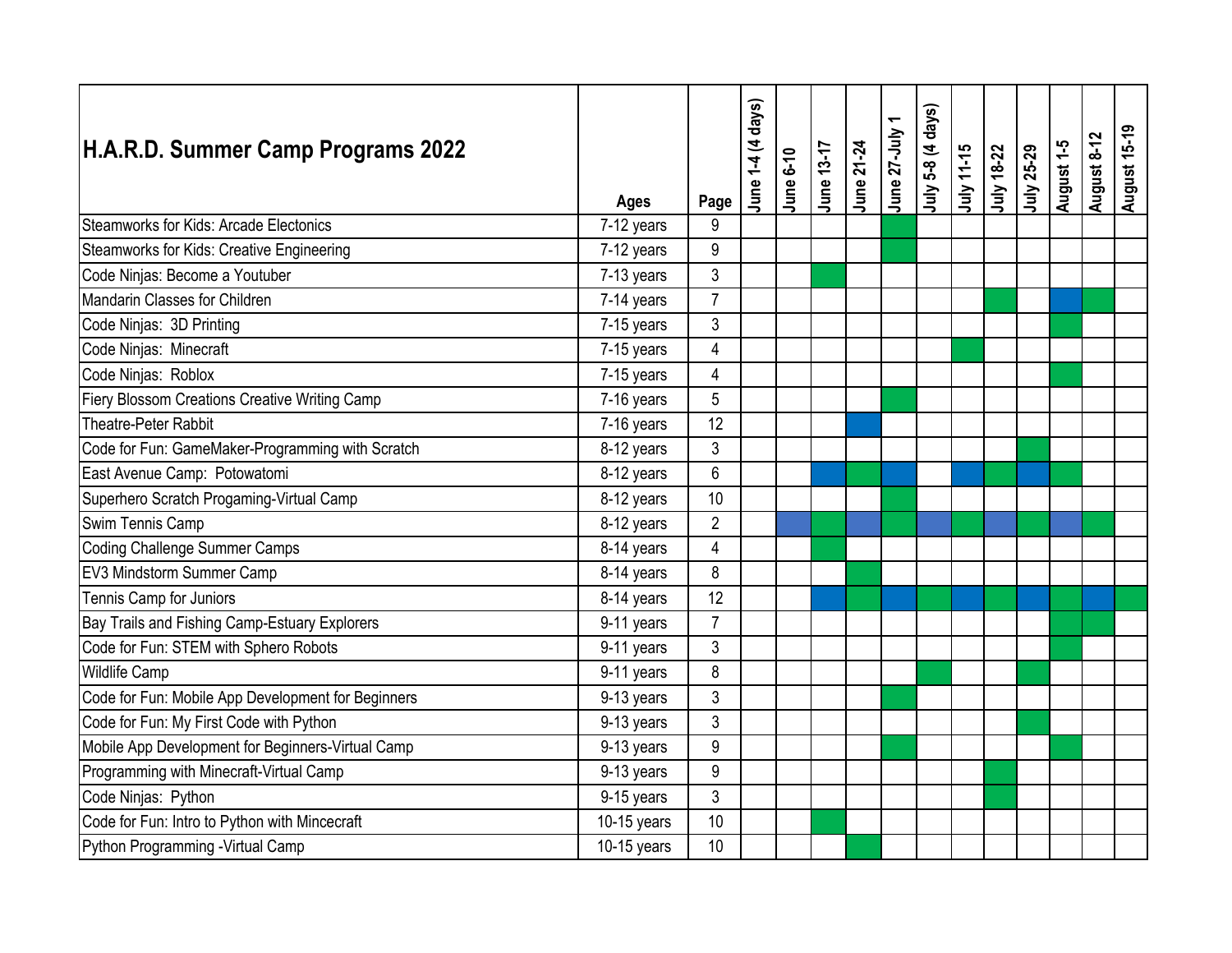| H.A.R.D. Summer Camp Programs 2022                 | <b>Ages</b>              | Page             | June 1-4 (4 days) | <b>June 6-10</b> | June 13-17 | June 21-24 | June 27-July | July 5-8 (4 days) | July 11-15 | July 18-22 | July 25-29 | August 1-5 | August 8-12 | <b>August 15-19</b> |
|----------------------------------------------------|--------------------------|------------------|-------------------|------------------|------------|------------|--------------|-------------------|------------|------------|------------|------------|-------------|---------------------|
| Steamworks for Kids: Arcade Electonics             | $\overline{7}$ -12 years | 9                |                   |                  |            |            |              |                   |            |            |            |            |             |                     |
| Steamworks for Kids: Creative Engineering          | 7-12 years               | $\boldsymbol{9}$ |                   |                  |            |            |              |                   |            |            |            |            |             |                     |
| Code Ninjas: Become a Youtuber                     | 7-13 years               | 3                |                   |                  |            |            |              |                   |            |            |            |            |             |                     |
| Mandarin Classes for Children                      | 7-14 years               | $\overline{7}$   |                   |                  |            |            |              |                   |            |            |            |            |             |                     |
| Code Ninjas: 3D Printing                           | 7-15 years               | 3                |                   |                  |            |            |              |                   |            |            |            |            |             |                     |
| Code Ninjas: Minecraft                             | 7-15 years               | 4                |                   |                  |            |            |              |                   |            |            |            |            |             |                     |
| Code Ninjas: Roblox                                | 7-15 years               | 4                |                   |                  |            |            |              |                   |            |            |            |            |             |                     |
| Fiery Blossom Creations Creative Writing Camp      | 7-16 years               | 5                |                   |                  |            |            |              |                   |            |            |            |            |             |                     |
| Theatre-Peter Rabbit                               | 7-16 years               | 12               |                   |                  |            |            |              |                   |            |            |            |            |             |                     |
| Code for Fun: GameMaker-Programming with Scratch   | 8-12 years               | 3                |                   |                  |            |            |              |                   |            |            |            |            |             |                     |
| East Avenue Camp: Potowatomi                       | 8-12 years               | 6                |                   |                  |            |            |              |                   |            |            |            |            |             |                     |
| Superhero Scratch Progaming-Virtual Camp           | 8-12 years               | 10               |                   |                  |            |            |              |                   |            |            |            |            |             |                     |
| Swim Tennis Camp                                   | 8-12 years               | $\overline{2}$   |                   |                  |            |            |              |                   |            |            |            |            |             |                     |
| Coding Challenge Summer Camps                      | 8-14 years               | 4                |                   |                  |            |            |              |                   |            |            |            |            |             |                     |
| EV3 Mindstorm Summer Camp                          | 8-14 years               | 8                |                   |                  |            |            |              |                   |            |            |            |            |             |                     |
| Tennis Camp for Juniors                            | 8-14 years               | 12               |                   |                  |            |            |              |                   |            |            |            |            |             |                     |
| Bay Trails and Fishing Camp-Estuary Explorers      | 9-11 years               | $\overline{7}$   |                   |                  |            |            |              |                   |            |            |            |            |             |                     |
| Code for Fun: STEM with Sphero Robots              | 9-11 years               | 3                |                   |                  |            |            |              |                   |            |            |            |            |             |                     |
| <b>Wildlife Camp</b>                               | 9-11 years               | 8                |                   |                  |            |            |              |                   |            |            |            |            |             |                     |
| Code for Fun: Mobile App Development for Beginners | 9-13 years               | 3                |                   |                  |            |            |              |                   |            |            |            |            |             |                     |
| Code for Fun: My First Code with Python            | 9-13 years               | 3                |                   |                  |            |            |              |                   |            |            |            |            |             |                     |
| Mobile App Development for Beginners-Virtual Camp  | 9-13 years               | 9                |                   |                  |            |            |              |                   |            |            |            |            |             |                     |
| Programming with Minecraft-Virtual Camp            | 9-13 years               | 9                |                   |                  |            |            |              |                   |            |            |            |            |             |                     |
| Code Ninjas: Python                                | 9-15 years               | 3                |                   |                  |            |            |              |                   |            |            |            |            |             |                     |
| Code for Fun: Intro to Python with Mincecraft      | $10-15$ years            | 10               |                   |                  |            |            |              |                   |            |            |            |            |             |                     |
| Python Programming - Virtual Camp                  | $10-15$ years            | 10               |                   |                  |            |            |              |                   |            |            |            |            |             |                     |